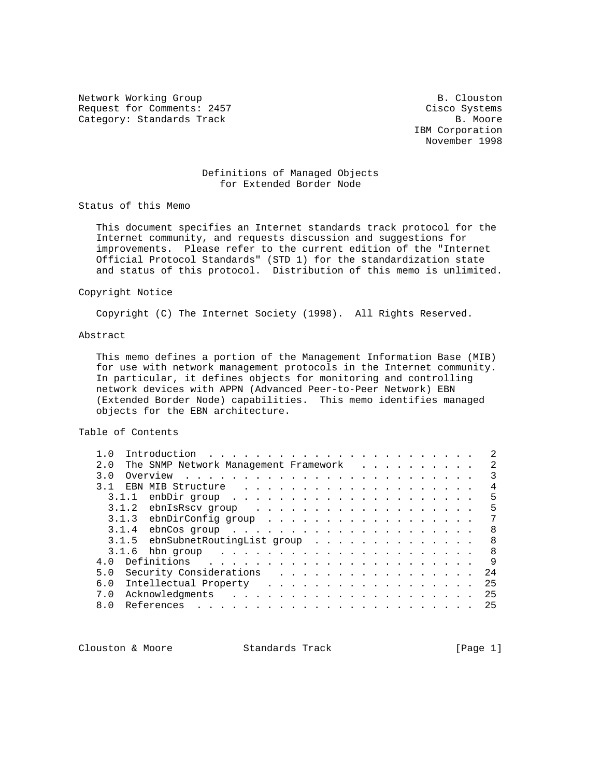Network Working Group and Section 1997 and Section 1997 and Section 1997 and Section 1997 and Section 1997 and Section 1997 and Section 1997 and Section 1997 and Section 1997 and Section 1997 and Section 1997 and Section 1 Request for Comments: 2457 Cisco Systems Category: Standards Track B. Moore

 IBM Corporation November 1998

## Definitions of Managed Objects for Extended Border Node

Status of this Memo

 This document specifies an Internet standards track protocol for the Internet community, and requests discussion and suggestions for improvements. Please refer to the current edition of the "Internet Official Protocol Standards" (STD 1) for the standardization state and status of this protocol. Distribution of this memo is unlimited.

## Copyright Notice

Copyright (C) The Internet Society (1998). All Rights Reserved.

# Abstract

 This memo defines a portion of the Management Information Base (MIB) for use with network management protocols in the Internet community. In particular, it defines objects for monitoring and controlling network devices with APPN (Advanced Peer-to-Peer Network) EBN (Extended Border Node) capabilities. This memo identifies managed objects for the EBN architecture.

## Table of Contents

| 1.0            |       | Introduction |                                                                                                                                                                                                                                      | $\frac{1}{2}$ . The state of the state of the state of the state of the state of the state of the state of the state of the state of the state of the state of the state of the state of the state of the state of the state of t |  |  |  |  |  |  |  |   |  |  | 2             |
|----------------|-------|--------------|--------------------------------------------------------------------------------------------------------------------------------------------------------------------------------------------------------------------------------------|-----------------------------------------------------------------------------------------------------------------------------------------------------------------------------------------------------------------------------------|--|--|--|--|--|--|--|---|--|--|---------------|
| 2.0            |       |              | The SNMP Network Management Framework                                                                                                                                                                                                |                                                                                                                                                                                                                                   |  |  |  |  |  |  |  |   |  |  | $\mathcal{L}$ |
| 3.O            |       | Overview     | the contract of the contract of the contract of the contract of the contract of the contract of the contract of                                                                                                                      |                                                                                                                                                                                                                                   |  |  |  |  |  |  |  |   |  |  |               |
| 3 <sub>1</sub> |       |              | EBN MIB Structure                                                                                                                                                                                                                    |                                                                                                                                                                                                                                   |  |  |  |  |  |  |  |   |  |  |               |
|                | 3.1.1 |              |                                                                                                                                                                                                                                      |                                                                                                                                                                                                                                   |  |  |  |  |  |  |  |   |  |  | 5             |
|                | 3.1.2 |              | ebnIsRscv group                                                                                                                                                                                                                      |                                                                                                                                                                                                                                   |  |  |  |  |  |  |  |   |  |  | 5             |
|                | 3.1.3 |              | ebnDirConfig group                                                                                                                                                                                                                   |                                                                                                                                                                                                                                   |  |  |  |  |  |  |  |   |  |  |               |
|                | 3.1.4 |              |                                                                                                                                                                                                                                      |                                                                                                                                                                                                                                   |  |  |  |  |  |  |  |   |  |  | 8             |
|                | 3.1.5 |              | ebnSubnetRoutingList group                                                                                                                                                                                                           |                                                                                                                                                                                                                                   |  |  |  |  |  |  |  |   |  |  | 8             |
|                | 3.1.6 |              | hbn group                                                                                                                                                                                                                            | the contract of the contract of the contract of the contract of the contract of the contract of the contract of the contract of the contract of the contract of the contract of the contract of the contract of the contract o    |  |  |  |  |  |  |  |   |  |  | 8             |
| $\cap$<br>4    |       | Definitions  |                                                                                                                                                                                                                                      |                                                                                                                                                                                                                                   |  |  |  |  |  |  |  |   |  |  | $\mathsf{Q}$  |
| 5.0            |       |              | Security Considerations                                                                                                                                                                                                              |                                                                                                                                                                                                                                   |  |  |  |  |  |  |  | . |  |  | 24            |
| 6.0            |       |              | Intellectual Property                                                                                                                                                                                                                |                                                                                                                                                                                                                                   |  |  |  |  |  |  |  |   |  |  | 25            |
| 7.0            |       |              | Acknowledgments                                                                                                                                                                                                                      |                                                                                                                                                                                                                                   |  |  |  |  |  |  |  |   |  |  | 25            |
| 8.0            |       | References   | <u>na mana na mana na mana na mana na mana na mana na mana na mana na mana na mana na mana na mana na mana na mana na mana na mana na mana na mana na mana na mana na mana na mana na mana na mana na mana na mana na mana na ma</u> |                                                                                                                                                                                                                                   |  |  |  |  |  |  |  |   |  |  | 25            |
|                |       |              |                                                                                                                                                                                                                                      |                                                                                                                                                                                                                                   |  |  |  |  |  |  |  |   |  |  |               |

Clouston & Moore 6 (Page 1)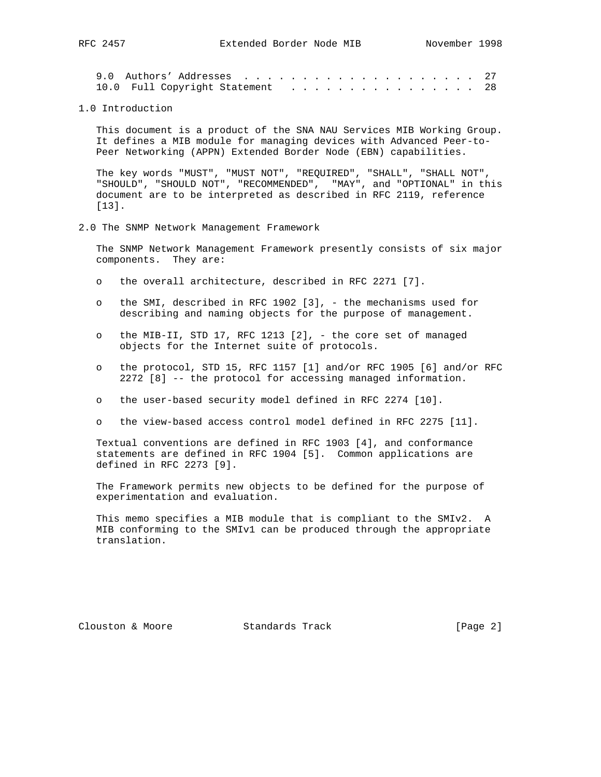|  | 9.0 Authors' Addresses  27       |  |  |  |  |  |  |  |  |  |  |
|--|----------------------------------|--|--|--|--|--|--|--|--|--|--|
|  | 10.0 Full Copyright Statement 28 |  |  |  |  |  |  |  |  |  |  |

1.0 Introduction

 This document is a product of the SNA NAU Services MIB Working Group. It defines a MIB module for managing devices with Advanced Peer-to- Peer Networking (APPN) Extended Border Node (EBN) capabilities.

 The key words "MUST", "MUST NOT", "REQUIRED", "SHALL", "SHALL NOT", "SHOULD", "SHOULD NOT", "RECOMMENDED", "MAY", and "OPTIONAL" in this document are to be interpreted as described in RFC 2119, reference [13].

2.0 The SNMP Network Management Framework

 The SNMP Network Management Framework presently consists of six major components. They are:

- o the overall architecture, described in RFC 2271 [7].
- o the SMI, described in RFC 1902 [3], the mechanisms used for describing and naming objects for the purpose of management.
- o the MIB-II, STD 17, RFC 1213 [2], the core set of managed objects for the Internet suite of protocols.
- o the protocol, STD 15, RFC 1157 [1] and/or RFC 1905 [6] and/or RFC 2272 [8] -- the protocol for accessing managed information.
- o the user-based security model defined in RFC 2274 [10].
- o the view-based access control model defined in RFC 2275 [11].

 Textual conventions are defined in RFC 1903 [4], and conformance statements are defined in RFC 1904 [5]. Common applications are defined in RFC 2273 [9].

 The Framework permits new objects to be defined for the purpose of experimentation and evaluation.

 This memo specifies a MIB module that is compliant to the SMIv2. A MIB conforming to the SMIv1 can be produced through the appropriate translation.

Clouston & Moore Standards Track [Page 2]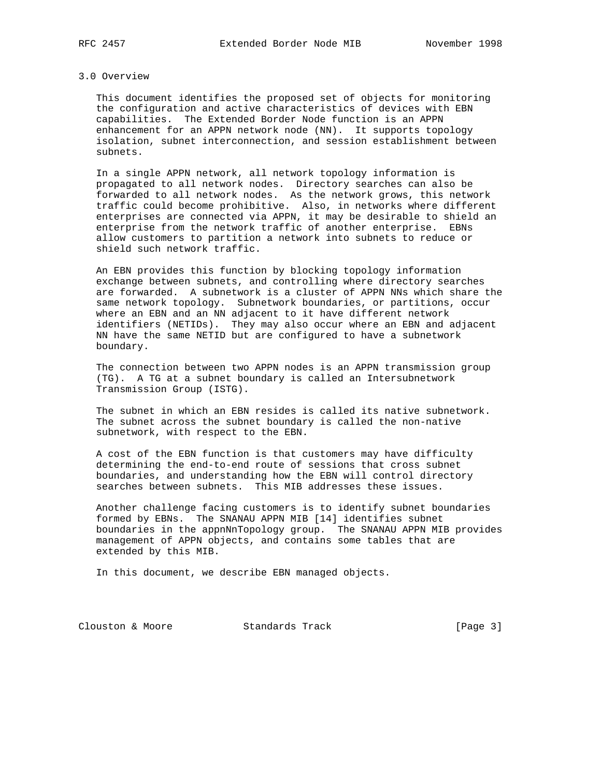#### 3.0 Overview

 This document identifies the proposed set of objects for monitoring the configuration and active characteristics of devices with EBN capabilities. The Extended Border Node function is an APPN enhancement for an APPN network node (NN). It supports topology isolation, subnet interconnection, and session establishment between subnets.

 In a single APPN network, all network topology information is propagated to all network nodes. Directory searches can also be forwarded to all network nodes. As the network grows, this network traffic could become prohibitive. Also, in networks where different enterprises are connected via APPN, it may be desirable to shield an enterprise from the network traffic of another enterprise. EBNs allow customers to partition a network into subnets to reduce or shield such network traffic.

 An EBN provides this function by blocking topology information exchange between subnets, and controlling where directory searches are forwarded. A subnetwork is a cluster of APPN NNs which share the same network topology. Subnetwork boundaries, or partitions, occur where an EBN and an NN adjacent to it have different network identifiers (NETIDs). They may also occur where an EBN and adjacent NN have the same NETID but are configured to have a subnetwork boundary.

 The connection between two APPN nodes is an APPN transmission group (TG). A TG at a subnet boundary is called an Intersubnetwork Transmission Group (ISTG).

 The subnet in which an EBN resides is called its native subnetwork. The subnet across the subnet boundary is called the non-native subnetwork, with respect to the EBN.

 A cost of the EBN function is that customers may have difficulty determining the end-to-end route of sessions that cross subnet boundaries, and understanding how the EBN will control directory searches between subnets. This MIB addresses these issues.

 Another challenge facing customers is to identify subnet boundaries formed by EBNs. The SNANAU APPN MIB [14] identifies subnet boundaries in the appnNnTopology group. The SNANAU APPN MIB provides management of APPN objects, and contains some tables that are extended by this MIB.

In this document, we describe EBN managed objects.

Clouston & Moore 6 Standards Track [Page 3]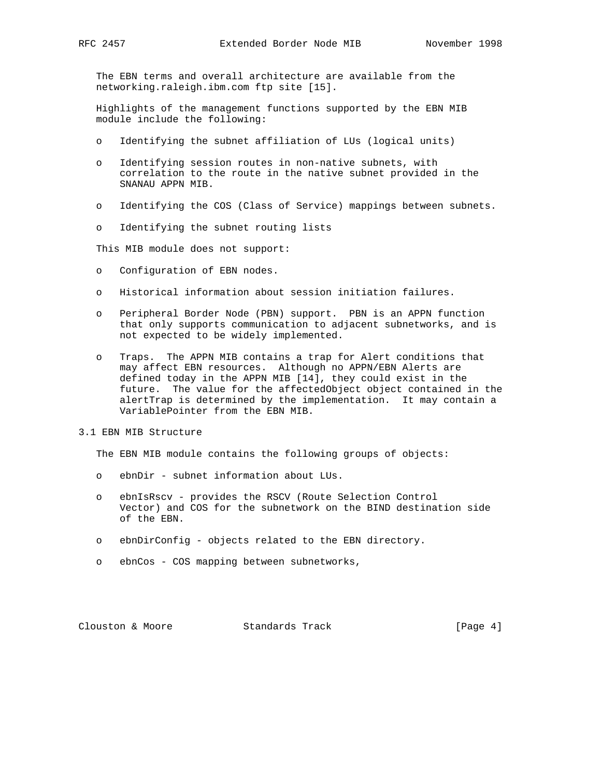The EBN terms and overall architecture are available from the networking.raleigh.ibm.com ftp site [15].

 Highlights of the management functions supported by the EBN MIB module include the following:

- o Identifying the subnet affiliation of LUs (logical units)
- o Identifying session routes in non-native subnets, with correlation to the route in the native subnet provided in the SNANAU APPN MIB.
- o Identifying the COS (Class of Service) mappings between subnets.
- o Identifying the subnet routing lists

This MIB module does not support:

- o Configuration of EBN nodes.
- o Historical information about session initiation failures.
- o Peripheral Border Node (PBN) support. PBN is an APPN function that only supports communication to adjacent subnetworks, and is not expected to be widely implemented.
- o Traps. The APPN MIB contains a trap for Alert conditions that may affect EBN resources. Although no APPN/EBN Alerts are defined today in the APPN MIB [14], they could exist in the future. The value for the affectedObject object contained in the alertTrap is determined by the implementation. It may contain a VariablePointer from the EBN MIB.
- 3.1 EBN MIB Structure

The EBN MIB module contains the following groups of objects:

- o ebnDir subnet information about LUs.
- o ebnIsRscv provides the RSCV (Route Selection Control Vector) and COS for the subnetwork on the BIND destination side of the EBN.
- o ebnDirConfig objects related to the EBN directory.
- o ebnCos COS mapping between subnetworks,

Clouston & Moore 6 Standards Track [Page 4]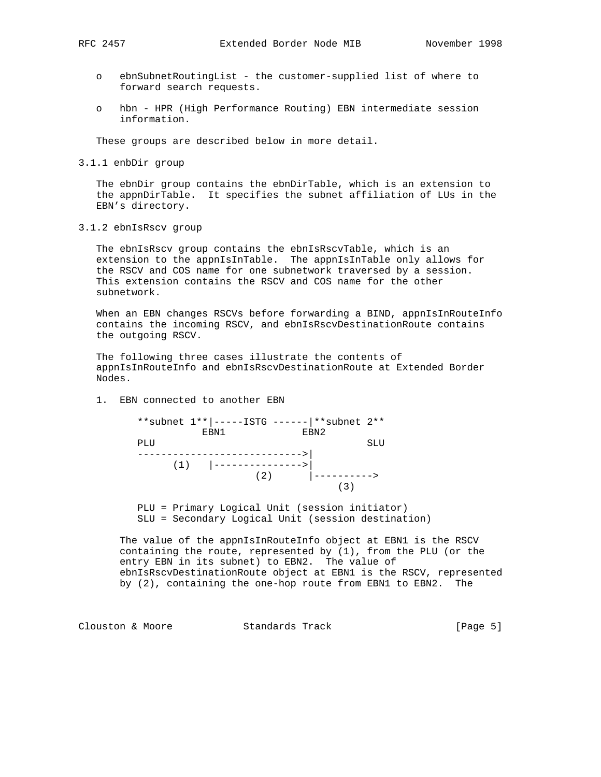- o ebnSubnetRoutingList the customer-supplied list of where to forward search requests.
- o hbn HPR (High Performance Routing) EBN intermediate session information.

These groups are described below in more detail.

3.1.1 enbDir group

 The ebnDir group contains the ebnDirTable, which is an extension to the appnDirTable. It specifies the subnet affiliation of LUs in the EBN's directory.

3.1.2 ebnIsRscv group

 The ebnIsRscv group contains the ebnIsRscvTable, which is an extension to the appnIsInTable. The appnIsInTable only allows for the RSCV and COS name for one subnetwork traversed by a session. This extension contains the RSCV and COS name for the other subnetwork.

When an EBN changes RSCVs before forwarding a BIND, appnIsInRouteInfo contains the incoming RSCV, and ebnIsRscvDestinationRoute contains the outgoing RSCV.

 The following three cases illustrate the contents of appnIsInRouteInfo and ebnIsRscvDestinationRoute at Extended Border Nodes.

1. EBN connected to another EBN

|     | ** subnet 1**  -----ISTG ------   ** subnet 2** |     |      |
|-----|-------------------------------------------------|-----|------|
|     | EBN1                                            |     | EBN2 |
| PLU |                                                 |     | SLU  |
|     |                                                 |     |      |
|     | $(1)$  ------------                             |     |      |
|     |                                                 | (2) |      |
|     |                                                 |     |      |
|     |                                                 |     |      |

 PLU = Primary Logical Unit (session initiator) SLU = Secondary Logical Unit (session destination)

 The value of the appnIsInRouteInfo object at EBN1 is the RSCV containing the route, represented by (1), from the PLU (or the entry EBN in its subnet) to EBN2. The value of ebnIsRscvDestinationRoute object at EBN1 is the RSCV, represented by (2), containing the one-hop route from EBN1 to EBN2. The

Clouston & Moore 6 (Page 5)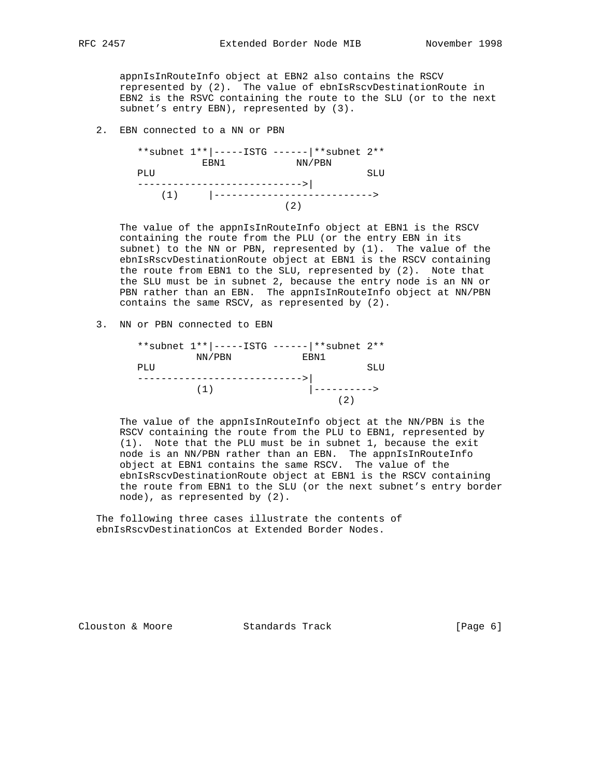appnIsInRouteInfo object at EBN2 also contains the RSCV represented by (2). The value of ebnIsRscvDestinationRoute in EBN2 is the RSVC containing the route to the SLU (or to the next subnet's entry EBN), represented by (3).

2. EBN connected to a NN or PBN



 The value of the appnIsInRouteInfo object at EBN1 is the RSCV containing the route from the PLU (or the entry EBN in its subnet) to the NN or PBN, represented by (1). The value of the ebnIsRscvDestinationRoute object at EBN1 is the RSCV containing the route from EBN1 to the SLU, represented by (2). Note that the SLU must be in subnet 2, because the entry node is an NN or PBN rather than an EBN. The appnIsInRouteInfo object at NN/PBN contains the same RSCV, as represented by (2).

3. NN or PBN connected to EBN

|     |        | ** subnet 1**  -----ISTG ------   ** subnet 2** |     |
|-----|--------|-------------------------------------------------|-----|
|     | NN/PBN | EBN1                                            |     |
| PLU |        |                                                 | SLU |
|     |        |                                                 |     |
|     | (1)    | - – – – – – – >                                 |     |
|     |        |                                                 |     |

 The value of the appnIsInRouteInfo object at the NN/PBN is the RSCV containing the route from the PLU to EBN1, represented by (1). Note that the PLU must be in subnet 1, because the exit node is an NN/PBN rather than an EBN. The appnIsInRouteInfo object at EBN1 contains the same RSCV. The value of the ebnIsRscvDestinationRoute object at EBN1 is the RSCV containing the route from EBN1 to the SLU (or the next subnet's entry border node), as represented by (2).

 The following three cases illustrate the contents of ebnIsRscvDestinationCos at Extended Border Nodes.

Clouston & Moore Standards Track [Page 6]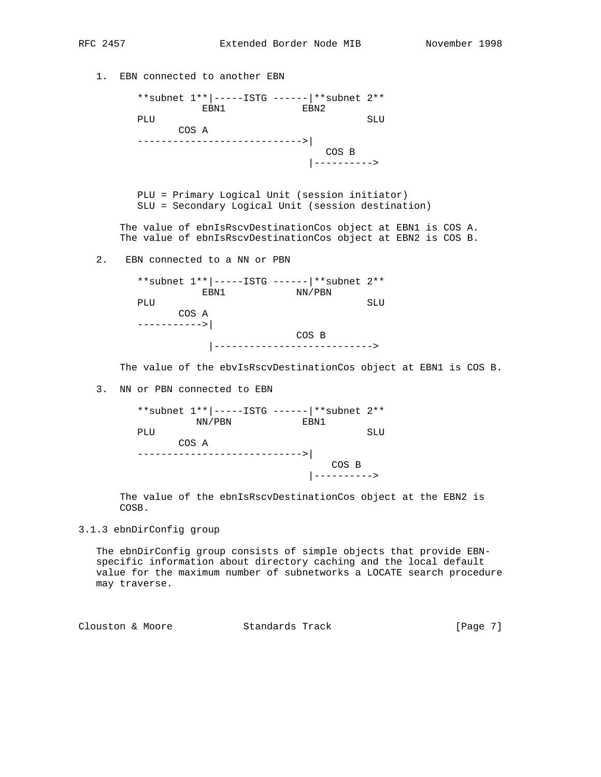| 1. | EBN connected to another EBN |                                       |                                                                                                      |                                                                                                                                                                                                                    |
|----|------------------------------|---------------------------------------|------------------------------------------------------------------------------------------------------|--------------------------------------------------------------------------------------------------------------------------------------------------------------------------------------------------------------------|
|    |                              |                                       | **subnet $1**$  -----ISTG ------  **subnet $2**$<br>EBN1 EBN2                                        |                                                                                                                                                                                                                    |
|    | PLU                          |                                       |                                                                                                      | SLU                                                                                                                                                                                                                |
|    |                              | COS A<br>---------------------------> |                                                                                                      |                                                                                                                                                                                                                    |
|    |                              |                                       | COS B<br>$ -----$                                                                                    |                                                                                                                                                                                                                    |
|    |                              |                                       | PLU = Primary Logical Unit (session initiator)<br>SLU = Secondary Logical Unit (session destination) |                                                                                                                                                                                                                    |
|    |                              |                                       |                                                                                                      | The value of ebnIsRscvDestinationCos object at EBN1 is COS A.<br>The value of ebnIsRscvDestinationCos object at EBN2 is COS B.                                                                                     |
| 2. |                              | EBN connected to a NN or PBN          |                                                                                                      |                                                                                                                                                                                                                    |
|    |                              | EBN1                                  | ** subnet 1**  -----ISTG ------   ** subnet 2**<br>NN/PBN                                            |                                                                                                                                                                                                                    |
|    | PLU                          |                                       |                                                                                                      | SLU                                                                                                                                                                                                                |
|    | COS A                        |                                       |                                                                                                      |                                                                                                                                                                                                                    |
|    |                              |                                       | COS B<br>----------------------->                                                                    |                                                                                                                                                                                                                    |
|    |                              |                                       |                                                                                                      | The value of the ebvIsRscvDestinationCos object at EBN1 is COS B.                                                                                                                                                  |
| 3. | NN or PBN connected to EBN   |                                       |                                                                                                      |                                                                                                                                                                                                                    |
|    |                              | NN/PBN                                | ** subnet 1**  -----ISTG ------   ** subnet 2**<br>EBN1                                              |                                                                                                                                                                                                                    |
|    | PLU<br>COS A                 |                                       |                                                                                                      | SLU                                                                                                                                                                                                                |
|    |                              |                                       | $COS$ B<br>---------->                                                                               |                                                                                                                                                                                                                    |
|    | COSB.                        |                                       |                                                                                                      | The value of the ebnIsRscvDestinationCos object at the EBN2 is                                                                                                                                                     |
|    | 3.1.3 ebnDirConfig group     |                                       |                                                                                                      |                                                                                                                                                                                                                    |
|    | may traverse.                |                                       |                                                                                                      | The ebnDirConfig group consists of simple objects that provide EBN-<br>specific information about directory caching and the local default<br>value for the maximum number of subnetworks a LOCATE search procedure |

Clouston & Moore Standards Track [Page 7]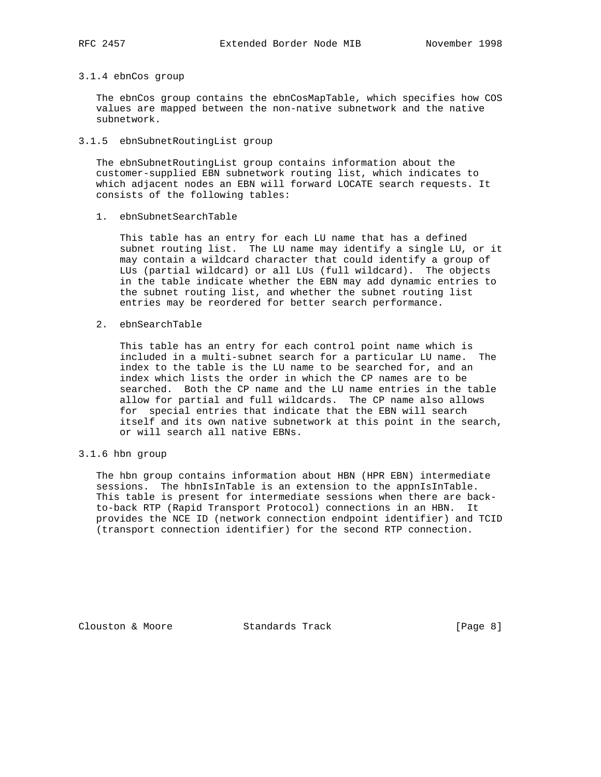## 3.1.4 ebnCos group

 The ebnCos group contains the ebnCosMapTable, which specifies how COS values are mapped between the non-native subnetwork and the native subnetwork.

## 3.1.5 ebnSubnetRoutingList group

 The ebnSubnetRoutingList group contains information about the customer-supplied EBN subnetwork routing list, which indicates to which adjacent nodes an EBN will forward LOCATE search requests. It consists of the following tables:

## 1. ebnSubnetSearchTable

 This table has an entry for each LU name that has a defined subnet routing list. The LU name may identify a single LU, or it may contain a wildcard character that could identify a group of LUs (partial wildcard) or all LUs (full wildcard). The objects in the table indicate whether the EBN may add dynamic entries to the subnet routing list, and whether the subnet routing list entries may be reordered for better search performance.

## 2. ebnSearchTable

 This table has an entry for each control point name which is included in a multi-subnet search for a particular LU name. The index to the table is the LU name to be searched for, and an index which lists the order in which the CP names are to be searched. Both the CP name and the LU name entries in the table allow for partial and full wildcards. The CP name also allows for special entries that indicate that the EBN will search itself and its own native subnetwork at this point in the search, or will search all native EBNs.

## 3.1.6 hbn group

 The hbn group contains information about HBN (HPR EBN) intermediate sessions. The hbnIsInTable is an extension to the appnIsInTable. This table is present for intermediate sessions when there are back to-back RTP (Rapid Transport Protocol) connections in an HBN. It provides the NCE ID (network connection endpoint identifier) and TCID (transport connection identifier) for the second RTP connection.

Clouston & Moore 6 Standards Track [Page 8]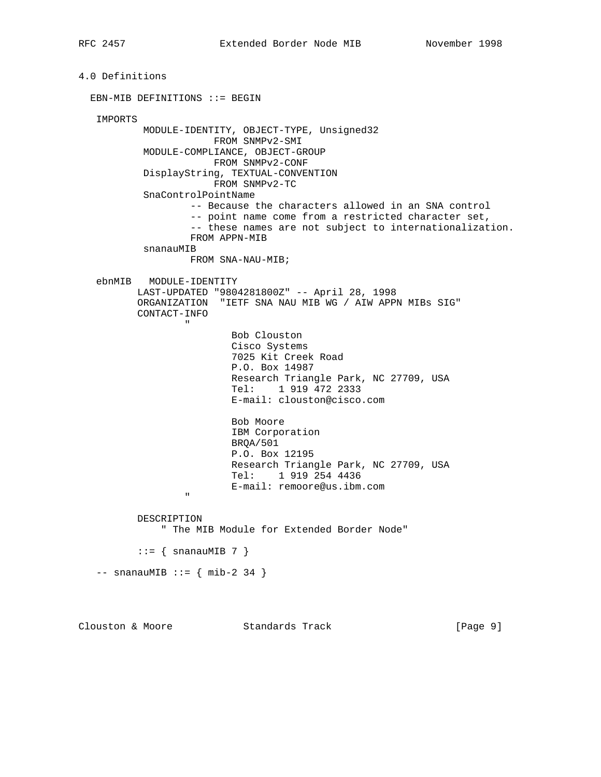```
4.0 Definitions
   EBN-MIB DEFINITIONS ::= BEGIN
     IMPORTS
                MODULE-IDENTITY, OBJECT-TYPE, Unsigned32
                                FROM SNMPv2-SMI
                MODULE-COMPLIANCE, OBJECT-GROUP
                                FROM SNMPv2-CONF
                DisplayString, TEXTUAL-CONVENTION
                                FROM SNMPv2-TC
                SnaControlPointName
                            -- Because the characters allowed in an SNA control
                            -- point name come from a restricted character set,
                            -- these names are not subject to internationalization.
                           FROM APPN-MIB
                snanauMIB
                          FROM SNA-NAU-MIB;
     ebnMIB MODULE-IDENTITY
               LAST-UPDATED "9804281800Z" -- April 28, 1998
               ORGANIZATION "IETF SNA NAU MIB WG / AIW APPN MIBs SIG"
               CONTACT-INFO
" "The contract of the contract of the contract of the contract of the contract of the contract of the contract of the contract of the contract of the contract of the contract of the contract of the contract of the contrac
                                     Bob Clouston
                                      Cisco Systems
                                      7025 Kit Creek Road
                                     P.O. Box 14987
                                      Research Triangle Park, NC 27709, USA
                                      Tel: 1 919 472 2333
                                      E-mail: clouston@cisco.com
                                     Bob Moore
                                      IBM Corporation
                                      BRQA/501
                                     P.O. Box 12195
                                     Research Triangle Park, NC 27709, USA
                                      Tel: 1 919 254 4436
                         E-mail: remoore@us.ibm.com
" "The contract of the contract of the contract of the contract of the contract of the contract of the contract of the contract of the contract of the contract of the contract of the contract of the contract of the contrac
               DESCRIPTION
                    " The MIB Module for Extended Border Node"
              ::= { snanauMIB 7 }
    -- snanauMIB ::= { mib-2 34 }
```
Clouston & Moore 6 Standards Track [Page 9]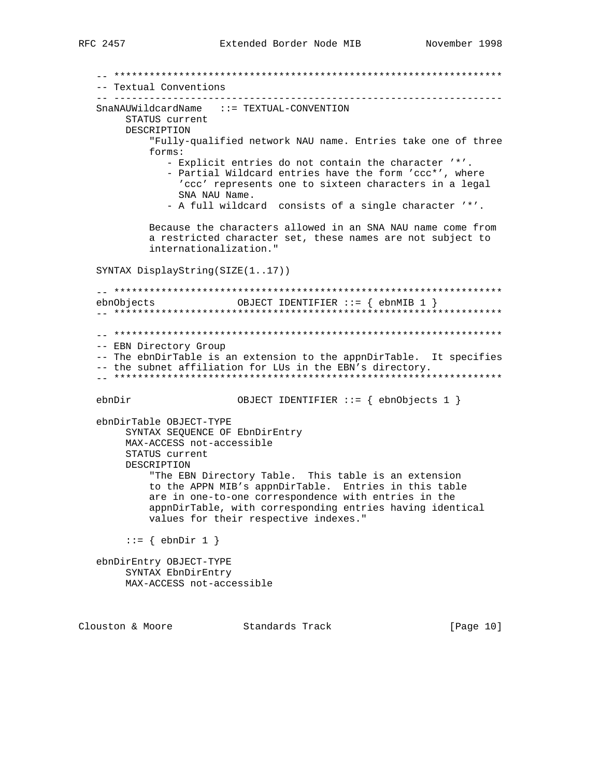-- Textual Conventions  $SnaNAWi1dcardName$  ::=  $TEXTUAL-CONVENTION$ STATUS current DESCRIPTION "Fully-qualified network NAU name. Entries take one of three forms: - Explicit entries do not contain the character '\*'. - Partial Wildcard entries have the form 'ccc\*', where 'ccc' represents one to sixteen characters in a legal SNA NAU Name. - A full wildcard consists of a single character '\*'. Because the characters allowed in an SNA NAU name come from a restricted character set, these names are not subject to internationalization." SYNTAX DisplayString(SIZE(1..17)) OBJECT IDENTIFIER ::=  $\{$  ebnMIB 1  $\}$ ebnObjects -- EBN Directory Group -- The ebnDirTable is an extension to the appnDirTable. It specifies -- the subnet affiliation for LUs in the EBN's directory. ebnDir OBJECT IDENTIFIER ::= { ebnObjects 1 } ebnDirTable OBJECT-TYPE SYNTAX SEQUENCE OF EbnDirEntry MAX-ACCESS not-accessible STATUS current DESCRIPTION "The EBN Directory Table. This table is an extension to the APPN MIB's appnDirTable. Entries in this table are in one-to-one correspondence with entries in the appnDirTable, with corresponding entries having identical values for their respective indexes."  $::= \{ \text{ebnDir 1 } \}$ ebnDirEntry OBJECT-TYPE SYNTAX EbnDirEntry MAX-ACCESS not-accessible

Clouston & Moore Standards Track

[Page 10]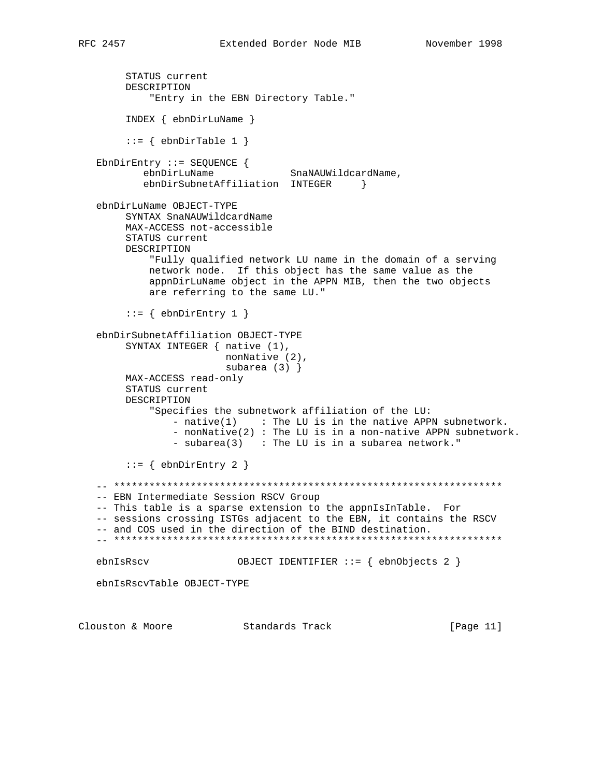```
 STATUS current
        DESCRIPTION
            "Entry in the EBN Directory Table."
         INDEX { ebnDirLuName }
        ::= { ebnDirTable 1 }
   EbnDirEntry ::= SEQUENCE {
          ebnDirLuName SnaNAUWildcardName,
          ebnDirSubnetAffiliation INTEGER }
   ebnDirLuName OBJECT-TYPE
        SYNTAX SnaNAUWildcardName
        MAX-ACCESS not-accessible
        STATUS current
        DESCRIPTION
            "Fully qualified network LU name in the domain of a serving
            network node. If this object has the same value as the
            appnDirLuName object in the APPN MIB, then the two objects
            are referring to the same LU."
        ::= { ebnDirEntry 1 }
   ebnDirSubnetAffiliation OBJECT-TYPE
        SYNTAX INTEGER { native (1),
                         nonNative (2),
                         subarea (3) }
        MAX-ACCESS read-only
        STATUS current
        DESCRIPTION
            "Specifies the subnetwork affiliation of the LU:
               - n \times (1) : The LU is in the native APPN subnetwork.
                - nonNative(2) : The LU is in a non-native APPN subnetwork.
               - subarea(3) : The LU is in a subarea network."
        ::= { ebnDirEntry 2 }
    -- ******************************************************************
   -- EBN Intermediate Session RSCV Group
   -- This table is a sparse extension to the appnIsInTable. For
   -- sessions crossing ISTGs adjacent to the EBN, it contains the RSCV
   -- and COS used in the direction of the BIND destination.
   -- ******************************************************************
   ebnIsRscv OBJECT IDENTIFIER ::= { ebnObjects 2 }
   ebnIsRscvTable OBJECT-TYPE
Clouston & Moore Standards Track [Page 11]
```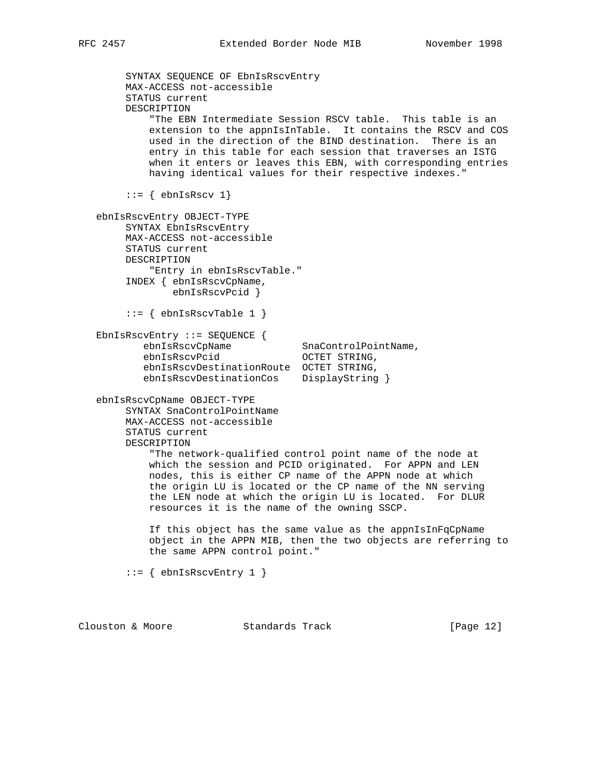```
 SYNTAX SEQUENCE OF EbnIsRscvEntry
        MAX-ACCESS not-accessible
        STATUS current
        DESCRIPTION
            "The EBN Intermediate Session RSCV table. This table is an
            extension to the appnIsInTable. It contains the RSCV and COS
            used in the direction of the BIND destination. There is an
            entry in this table for each session that traverses an ISTG
            when it enters or leaves this EBN, with corresponding entries
            having identical values for their respective indexes."
       ::= { ebnIsRscv 1}
   ebnIsRscvEntry OBJECT-TYPE
        SYNTAX EbnIsRscvEntry
        MAX-ACCESS not-accessible
        STATUS current
        DESCRIPTION
            "Entry in ebnIsRscvTable."
        INDEX { ebnIsRscvCpName,
                ebnIsRscvPcid }
       ::= { ebnIsRscvTable 1 }
   EbnIsRscvEntry ::= SEQUENCE {
ebnIsRscvCpName SnaControlPointName,
ebnIsRscvPcid    QOCTET STRING,
           ebnIsRscvDestinationRoute OCTET STRING,
           ebnIsRscvDestinationCos DisplayString }
   ebnIsRscvCpName OBJECT-TYPE
        SYNTAX SnaControlPointName
        MAX-ACCESS not-accessible
        STATUS current
        DESCRIPTION
            "The network-qualified control point name of the node at
            which the session and PCID originated. For APPN and LEN
            nodes, this is either CP name of the APPN node at which
            the origin LU is located or the CP name of the NN serving
            the LEN node at which the origin LU is located. For DLUR
            resources it is the name of the owning SSCP.
            If this object has the same value as the appnIsInFqCpName
            object in the APPN MIB, then the two objects are referring to
            the same APPN control point."
       ::= { ebnIsRscvEntry 1 }
```
Clouston & Moore Standards Track [Page 12]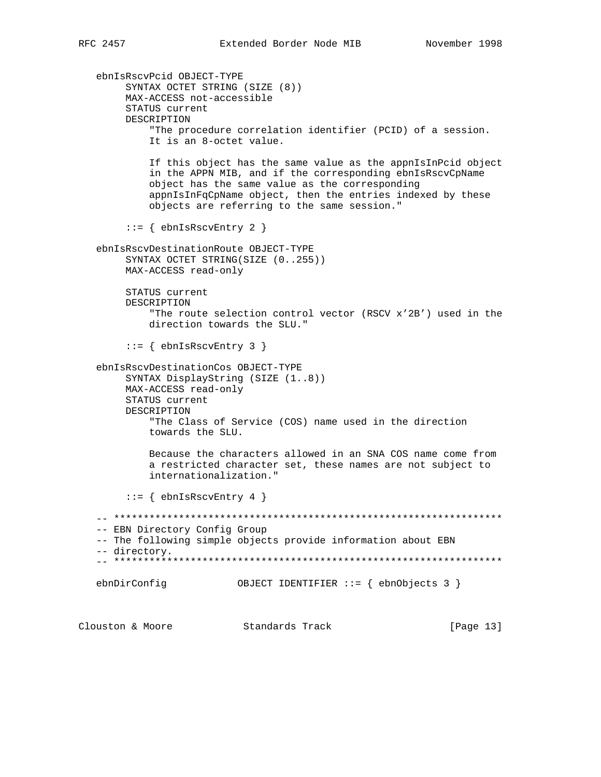[Page 13]

ebnIsRscvPcid OBJECT-TYPE SYNTAX OCTET STRING (SIZE (8)) MAX-ACCESS not-accessible STATUS current DESCRIPTION "The procedure correlation identifier (PCID) of a session. It is an 8-octet value. If this object has the same value as the appnIsInPcid object in the APPN MIB, and if the corresponding ebnIsRscvCpName object has the same value as the corresponding appnIsInFqCpName object, then the entries indexed by these objects are referring to the same session."  $::=$  { ebnIsRscvEntry 2 } ebnIsRscvDestinationRoute OBJECT-TYPE SYNTAX OCTET STRING(SIZE (0..255)) MAX-ACCESS read-only STATUS current DESCRIPTION "The route selection control vector (RSCV x'2B') used in the direction towards the SLU."  $::=$  { ebnIsRscvEntry 3 } ebnIsRscvDestinationCos OBJECT-TYPE SYNTAX DisplayString (SIZE (1..8)) MAX-ACCESS read-only STATUS current DESCRIPTION "The Class of Service (COS) name used in the direction towards the SLU. Because the characters allowed in an SNA COS name come from a restricted character set, these names are not subject to internationalization."  $::=$  { ebnIsRscvEntry 4 } -- EBN Directory Config Group -- The following simple objects provide information about EBN -- directory. OBJECT IDENTIFIER ::= { ebnObjects 3 } ebnDirConfig

Clouston & Moore Standards Track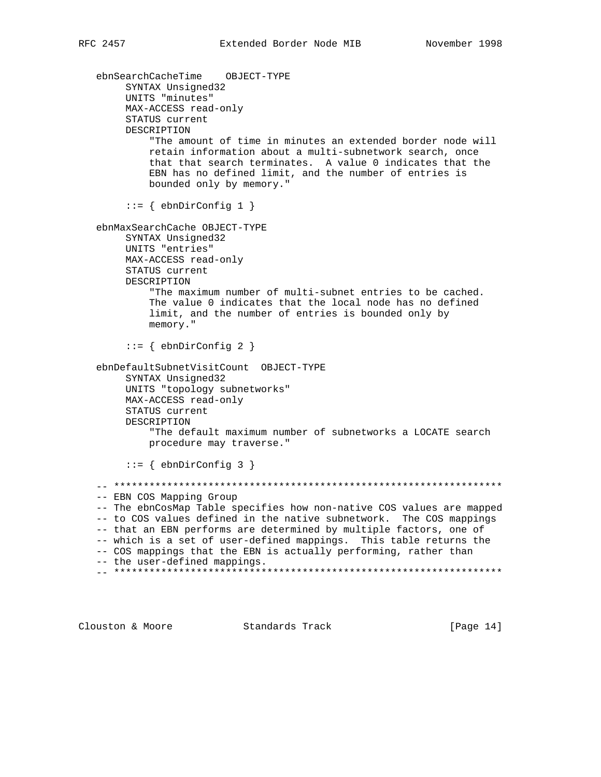ebnSearchCacheTime OBJECT-TYPE SYNTAX Unsigned32 UNITS "minutes" MAX-ACCESS read-only STATUS current DESCRIPTION "The amount of time in minutes an extended border node will retain information about a multi-subnetwork search, once that that search terminates. A value 0 indicates that the EBN has no defined limit, and the number of entries is bounded only by memory." ::= { ebnDirConfig 1 } ebnMaxSearchCache OBJECT-TYPE SYNTAX Unsigned32 UNITS "entries" MAX-ACCESS read-only STATUS current DESCRIPTION "The maximum number of multi-subnet entries to be cached. The value 0 indicates that the local node has no defined limit, and the number of entries is bounded only by memory."  $::=$  { ebnDirConfig 2 } ebnDefaultSubnetVisitCount OBJECT-TYPE SYNTAX Unsigned32 UNITS "topology subnetworks" MAX-ACCESS read-only STATUS current DESCRIPTION "The default maximum number of subnetworks a LOCATE search procedure may traverse." ::= { ebnDirConfig 3 } -- \*\*\*\*\*\*\*\*\*\*\*\*\*\*\*\*\*\*\*\*\*\*\*\*\*\*\*\*\*\*\*\*\*\*\*\*\*\*\*\*\*\*\*\*\*\*\*\*\*\*\*\*\*\*\*\*\*\*\*\*\*\*\*\*\*\* -- EBN COS Mapping Group -- The ebnCosMap Table specifies how non-native COS values are mapped -- to COS values defined in the native subnetwork. The COS mappings -- that an EBN performs are determined by multiple factors, one of -- which is a set of user-defined mappings. This table returns the -- COS mappings that the EBN is actually performing, rather than -- the user-defined mappings. -- \*\*\*\*\*\*\*\*\*\*\*\*\*\*\*\*\*\*\*\*\*\*\*\*\*\*\*\*\*\*\*\*\*\*\*\*\*\*\*\*\*\*\*\*\*\*\*\*\*\*\*\*\*\*\*\*\*\*\*\*\*\*\*\*\*\*

Clouston & Moore Standards Track [Page 14]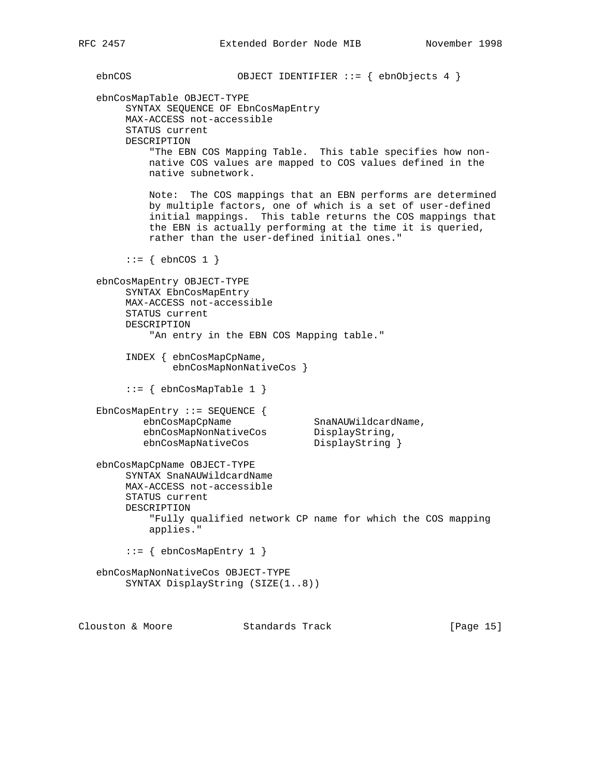ebnCOS OBJECT IDENTIFIER ::= { ebnObjects 4 } ebnCosMapTable OBJECT-TYPE SYNTAX SEQUENCE OF EbnCosMapEntry MAX-ACCESS not-accessible STATUS current DESCRIPTION "The EBN COS Mapping Table. This table specifies how non native COS values are mapped to COS values defined in the native subnetwork. Note: The COS mappings that an EBN performs are determined by multiple factors, one of which is a set of user-defined initial mappings. This table returns the COS mappings that the EBN is actually performing at the time it is queried, rather than the user-defined initial ones."  $::=$  { ebnCOS 1 } ebnCosMapEntry OBJECT-TYPE SYNTAX EbnCosMapEntry MAX-ACCESS not-accessible STATUS current DESCRIPTION "An entry in the EBN COS Mapping table." INDEX { ebnCosMapCpName, ebnCosMapNonNativeCos }  $::=$  { ebnCosMapTable 1 } EbnCosMapEntry ::= SEQUENCE { ebnCosMapCpName SnaNAUWildcardName, ebnCosMapNonNativeCos DisplayString, ebnCosMapNativeCos DisplayString } ebnCosMapCpName OBJECT-TYPE SYNTAX SnaNAUWildcardName MAX-ACCESS not-accessible STATUS current DESCRIPTION "Fully qualified network CP name for which the COS mapping applies." ::= { ebnCosMapEntry 1 } ebnCosMapNonNativeCos OBJECT-TYPE SYNTAX DisplayString (SIZE(1..8)) Clouston & Moore 6 Standards Track [Page 15]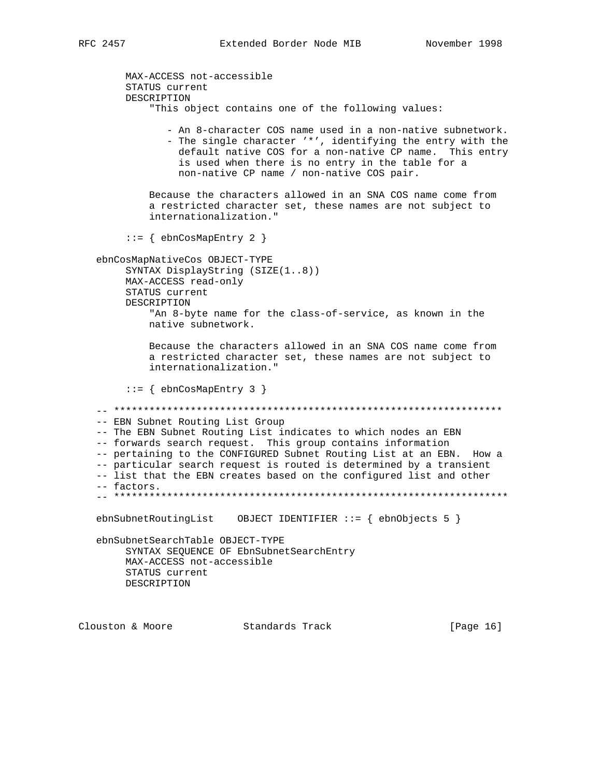MAX-ACCESS not-accessible STATUS current DESCRIPTION "This object contains one of the following values: - An 8-character COS name used in a non-native subnetwork. - The single character '\*', identifying the entry with the default native COS for a non-native CP name. This entry is used when there is no entry in the table for a non-native CP name / non-native COS pair. Because the characters allowed in an SNA COS name come from a restricted character set, these names are not subject to internationalization."  $::=$  { ebnCosMapEntry 2 } ebnCosMapNativeCos OBJECT-TYPE SYNTAX DisplayString (SIZE(1..8)) MAX-ACCESS read-only STATUS current DESCRIPTION "An 8-byte name for the class-of-service, as known in the native subnetwork. Because the characters allowed in an SNA COS name come from a restricted character set, these names are not subject to internationalization."  $::=$  { ebnCosMapEntry 3 } -- EBN Subnet Routing List Group -- The EBN Subnet Routing List indicates to which nodes an EBN -- forwards search request. This group contains information -- pertaining to the CONFIGURED Subnet Routing List at an EBN. How a -- particular search request is routed is determined by a transient -- list that the EBN creates based on the configured list and other -- factors. ebnSubnetSearchTable OBJECT-TYPE SYNTAX SEQUENCE OF EbnSubnetSearchEntry MAX-ACCESS not-accessible STATUS current DESCRIPTION Clouston & Moore Standards Track [Page 16]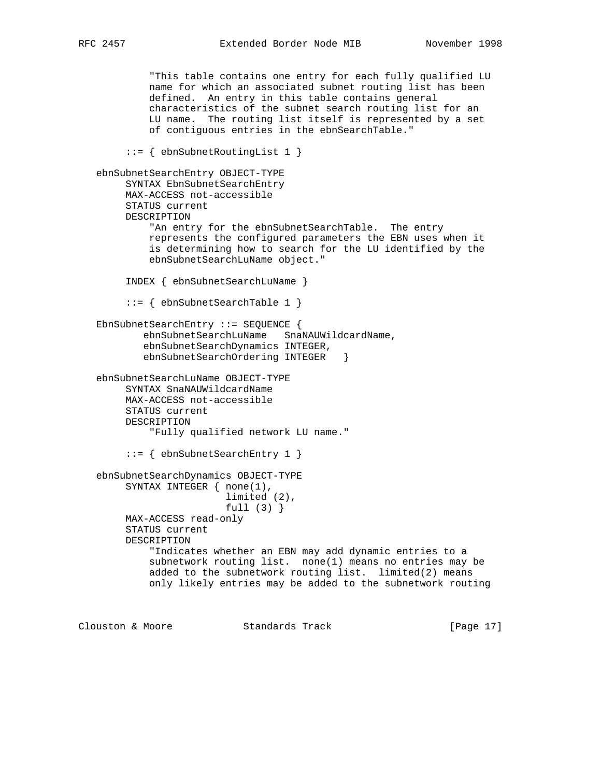"This table contains one entry for each fully qualified LU name for which an associated subnet routing list has been defined. An entry in this table contains general characteristics of the subnet search routing list for an LU name. The routing list itself is represented by a set of contiguous entries in the ebnSearchTable." ::= { ebnSubnetRoutingList 1 } ebnSubnetSearchEntry OBJECT-TYPE SYNTAX EbnSubnetSearchEntry MAX-ACCESS not-accessible STATUS current DESCRIPTION "An entry for the ebnSubnetSearchTable. The entry represents the configured parameters the EBN uses when it is determining how to search for the LU identified by the ebnSubnetSearchLuName object." INDEX { ebnSubnetSearchLuName } ::= { ebnSubnetSearchTable 1 } EbnSubnetSearchEntry ::= SEQUENCE { ebnSubnetSearchLuName SnaNAUWildcardName, ebnSubnetSearchDynamics INTEGER, ebnSubnetSearchOrdering INTEGER } ebnSubnetSearchLuName OBJECT-TYPE SYNTAX SnaNAUWildcardName MAX-ACCESS not-accessible STATUS current DESCRIPTION "Fully qualified network LU name." ::= { ebnSubnetSearchEntry 1 } ebnSubnetSearchDynamics OBJECT-TYPE SYNTAX INTEGER  $\{ none(1),\}$  limited (2), full (3) } MAX-ACCESS read-only STATUS current DESCRIPTION "Indicates whether an EBN may add dynamic entries to a subnetwork routing list. none(1) means no entries may be added to the subnetwork routing list. limited(2) means only likely entries may be added to the subnetwork routing

Clouston & Moore Standards Track [Page 17]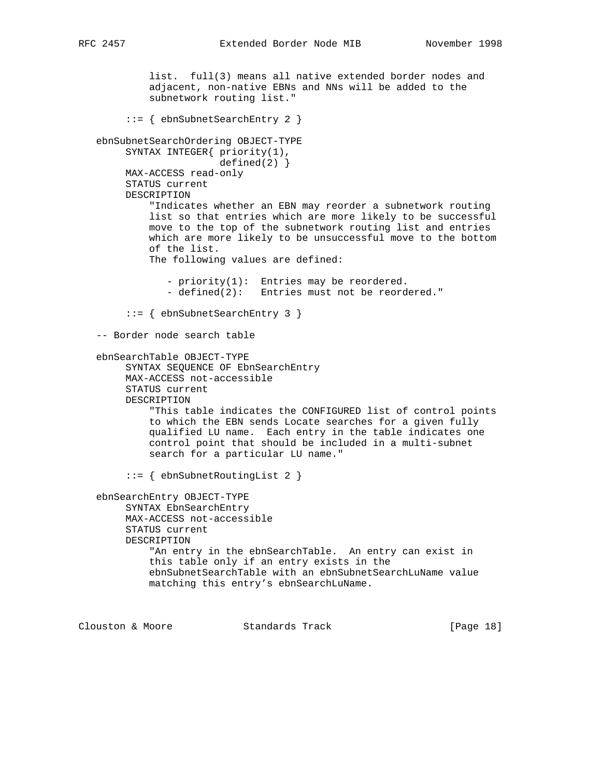```
 list. full(3) means all native extended border nodes and
          adjacent, non-native EBNs and NNs will be added to the
          subnetwork routing list."
      ::= { ebnSubnetSearchEntry 2 }
 ebnSubnetSearchOrdering OBJECT-TYPE
     SYNTAX INTEGER{ priority(1),
                     defined(2) }
      MAX-ACCESS read-only
      STATUS current
     DESCRIPTION
          "Indicates whether an EBN may reorder a subnetwork routing
          list so that entries which are more likely to be successful
          move to the top of the subnetwork routing list and entries
          which are more likely to be unsuccessful move to the bottom
          of the list.
          The following values are defined:
             - priority(1): Entries may be reordered.
             - defined(2): Entries must not be reordered."
      ::= { ebnSubnetSearchEntry 3 }
 -- Border node search table
 ebnSearchTable OBJECT-TYPE
      SYNTAX SEQUENCE OF EbnSearchEntry
     MAX-ACCESS not-accessible
      STATUS current
     DESCRIPTION
```
 "This table indicates the CONFIGURED list of control points to which the EBN sends Locate searches for a given fully qualified LU name. Each entry in the table indicates one control point that should be included in a multi-subnet search for a particular LU name."

::= { ebnSubnetRoutingList 2 }

```
 ebnSearchEntry OBJECT-TYPE
      SYNTAX EbnSearchEntry
      MAX-ACCESS not-accessible
      STATUS current
     DESCRIPTION
          "An entry in the ebnSearchTable. An entry can exist in
          this table only if an entry exists in the
          ebnSubnetSearchTable with an ebnSubnetSearchLuName value
          matching this entry's ebnSearchLuName.
```
Clouston & Moore Standards Track [Page 18]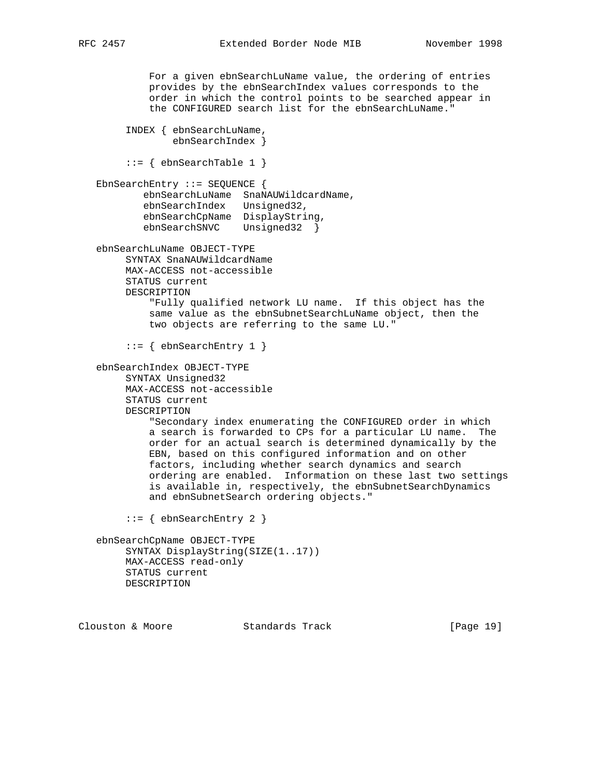For a given ebnSearchLuName value, the ordering of entries provides by the ebnSearchIndex values corresponds to the order in which the control points to be searched appear in the CONFIGURED search list for the ebnSearchLuName." INDEX { ebnSearchLuName, ebnSearchIndex }  $::=$  { ebnSearchTable 1 } EbnSearchEntry ::= SEQUENCE { ebnSearchLuName SnaNAUWildcardName, ebnSearchIndex Unsigned32, ebnSearchCpName DisplayString, ebnSearchSNVC Unsigned32 } ebnSearchLuName OBJECT-TYPE SYNTAX SnaNAUWildcardName MAX-ACCESS not-accessible STATUS current DESCRIPTION "Fully qualified network LU name. If this object has the same value as the ebnSubnetSearchLuName object, then the two objects are referring to the same LU."  $::=$  { ebnSearchEntry 1 } ebnSearchIndex OBJECT-TYPE SYNTAX Unsigned32 MAX-ACCESS not-accessible STATUS current DESCRIPTION "Secondary index enumerating the CONFIGURED order in which a search is forwarded to CPs for a particular LU name. The order for an actual search is determined dynamically by the EBN, based on this configured information and on other factors, including whether search dynamics and search ordering are enabled. Information on these last two settings is available in, respectively, the ebnSubnetSearchDynamics and ebnSubnetSearch ordering objects." ::= { ebnSearchEntry 2 } ebnSearchCpName OBJECT-TYPE SYNTAX DisplayString(SIZE(1..17)) MAX-ACCESS read-only STATUS current DESCRIPTION

Clouston & Moore Standards Track [Page 19]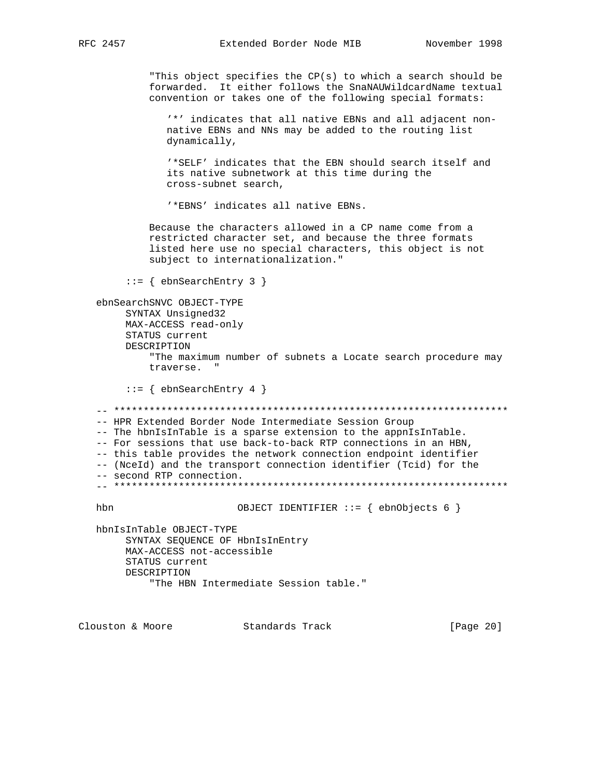"This object specifies the CP(s) to which a search should be forwarded. It either follows the SnaNAUWildcardName textual convention or takes one of the following special formats:

'\*' indicates that all native EBNs and all adjacent nonnative EBNs and NNs may be added to the routing list dynamically,

'\*SELF' indicates that the EBN should search itself and its native subnetwork at this time during the cross-subnet search,

'\*EBNS' indicates all native EBNs.

Because the characters allowed in a CP name come from a restricted character set, and because the three formats listed here use no special characters, this object is not subject to internationalization."

 $::=$  { ebnSearchEntry 3 }

ebnSearchSNVC OBJECT-TYPE SYNTAX Unsigned32 MAX-ACCESS read-only STATUS current DESCRIPTION "The maximum number of subnets a Locate search procedure may traverse. "  $::=$  { ebnSearchEntry 4 } 

-- HPR Extended Border Node Intermediate Session Group -- The hbnIsInTable is a sparse extension to the appnIsInTable. -- For sessions that use back-to-back RTP connections in an HBN, -- this table provides the network connection endpoint identifier -- (NceId) and the transport connection identifier (Tcid) for the -- second RTP connection. 

hbn

OBJECT IDENTIFIER ::= { ebnObjects 6 }

hbnIsInTable OBJECT-TYPE SYNTAX SEQUENCE OF HbnIsInEntry MAX-ACCESS not-accessible STATUS current DESCRIPTION "The HBN Intermediate Session table."

Clouston & Moore Standards Track [Page 20]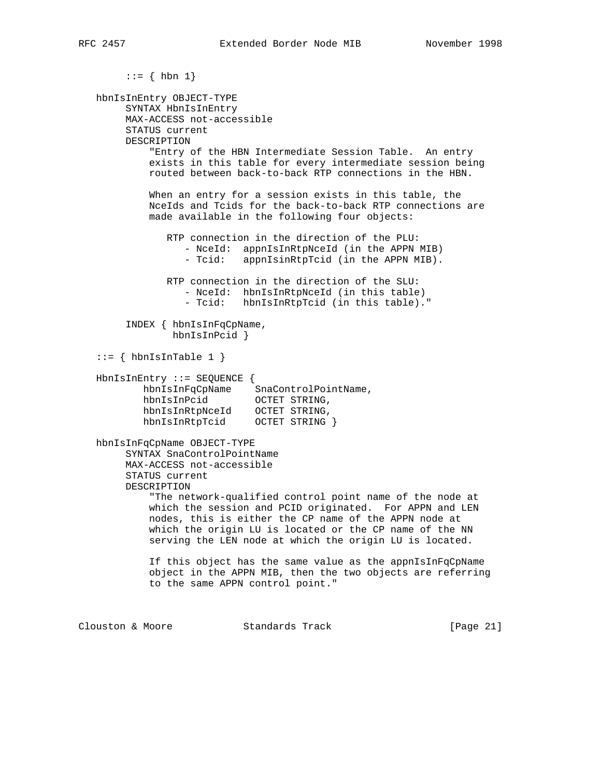```
::= \{ \text{ hbn } 1 \} hbnIsInEntry OBJECT-TYPE
         SYNTAX HbnIsInEntry
        MAX-ACCESS not-accessible
        STATUS current
        DESCRIPTION
            "Entry of the HBN Intermediate Session Table. An entry
            exists in this table for every intermediate session being
            routed between back-to-back RTP connections in the HBN.
            When an entry for a session exists in this table, the
            NceIds and Tcids for the back-to-back RTP connections are
            made available in the following four objects:
                RTP connection in the direction of the PLU:
                  - NceId: appnIsInRtpNceId (in the APPN MIB)
                  - Tcid: appnIsinRtpTcid (in the APPN MIB).
                RTP connection in the direction of the SLU:
                   - NceId: hbnIsInRtpNceId (in this table)
                   - Tcid: hbnIsInRtpTcid (in this table)."
         INDEX { hbnIsInFqCpName,
               hbnIsInPcid }
   ::= { hbnIsInTable 1 }
   HbnIsInEntry ::= SEQUENCE {
          hbnIsInFqCpName SnaControlPointName,
           hbnIsInPcid OCTET STRING,
           hbnIsInRtpNceId OCTET STRING,
          hbnIsInRtpTcid OCTET STRING }
   hbnIsInFqCpName OBJECT-TYPE
        SYNTAX SnaControlPointName
        MAX-ACCESS not-accessible
        STATUS current
        DESCRIPTION
             "The network-qualified control point name of the node at
            which the session and PCID originated. For APPN and LEN
            nodes, this is either the CP name of the APPN node at
            which the origin LU is located or the CP name of the NN
            serving the LEN node at which the origin LU is located.
            If this object has the same value as the appnIsInFqCpName
            object in the APPN MIB, then the two objects are referring
            to the same APPN control point."
Clouston & Moore Standards Track [Page 21]
```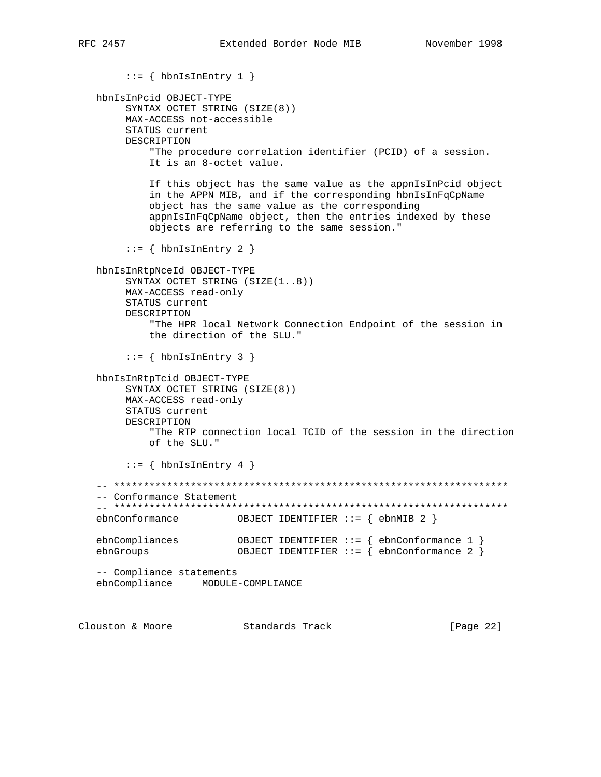[Page 22]

```
::= { hbnIsInEntry 1 }
  hbnIsInPcid OBJECT-TYPE
       SYNTAX OCTET STRING (SIZE(8))
       MAX-ACCESS not-accessible
       STATUS current
       DESCRIPTION
           "The procedure correlation identifier (PCID) of a session.
           It is an 8-octet value.
           If this object has the same value as the appnIsInPcid object
           in the APPN MIB, and if the corresponding hbnIsInFqCpName
           object has the same value as the corresponding
           appnIsInFqCpName object, then the entries indexed by these
           objects are referring to the same session."
       ::= { hbnIsInEntry 2 }
  hbnIsInRtpNceId OBJECT-TYPE
       SYNTAX OCTET STRING (SIZE(1..8))
       MAX-ACCESS read-only
       STATUS current
       DESCRIPTION
           "The HPR local Network Connection Endpoint of the session in
           the direction of the SLU."
       ::= { hbnIsInEntry 3 }
  hbnIsInRtpTcid OBJECT-TYPE
       SYNTAX OCTET STRING (SIZE(8))
       MAX-ACCESS read-only
       STATUS current
       DESCRIPTION
           "The RTP connection local TCID of the session in the direction
           of the SLU."
       ::= { hbnIsInEntry 4 }
   -- Conformance Statement
  ebnConformance
                        OBJECT IDENTIFIER ::= { ebnMIB 2 }
  {\tt chnCompliances}\qquad\qquad {\tt OBJECT\ IDENTIFIER}\ :\ =\ \left\{ \begin{array}{llllllllll} {\tt chnConformance\ 1}\ \\\ {\tt chnGroups}\end{array}\right\} \label{eq:ohnGroups}-- Compliance statements
  ebnCompliance MODULE-COMPLIANCE
Clouston & Moore Standards Track
```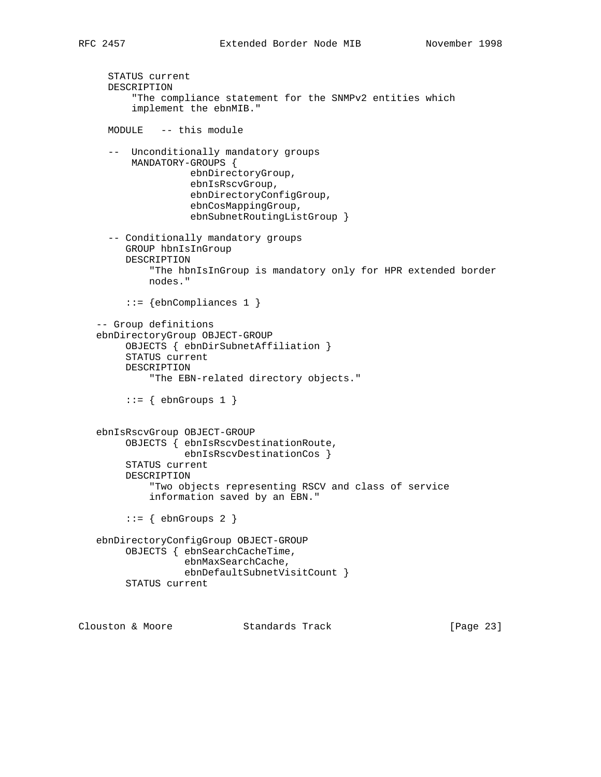```
 STATUS current
  DESCRIPTION
       "The compliance statement for the SNMPv2 entities which
       implement the ebnMIB."
  MODULE -- this module
   -- Unconditionally mandatory groups
      MANDATORY-GROUPS {
                 ebnDirectoryGroup,
                 ebnIsRscvGroup,
                 ebnDirectoryConfigGroup,
                 ebnCosMappingGroup,
                 ebnSubnetRoutingListGroup }
   -- Conditionally mandatory groups
      GROUP hbnIsInGroup
      DESCRIPTION
          "The hbnIsInGroup is mandatory only for HPR extended border
          nodes."
      ::= {ebnCompliances 1 }
 -- Group definitions
 ebnDirectoryGroup OBJECT-GROUP
      OBJECTS { ebnDirSubnetAffiliation }
      STATUS current
      DESCRIPTION
          "The EBN-related directory objects."
     ::= { ebnGroups 1 }
 ebnIsRscvGroup OBJECT-GROUP
      OBJECTS { ebnIsRscvDestinationRoute,
                ebnIsRscvDestinationCos }
      STATUS current
      DESCRIPTION
          "Two objects representing RSCV and class of service
          information saved by an EBN."
     ::= { ebnGroups 2 }
 ebnDirectoryConfigGroup OBJECT-GROUP
      OBJECTS { ebnSearchCacheTime,
                ebnMaxSearchCache,
                ebnDefaultSubnetVisitCount }
      STATUS current
```
Clouston & Moore Standards Track [Page 23]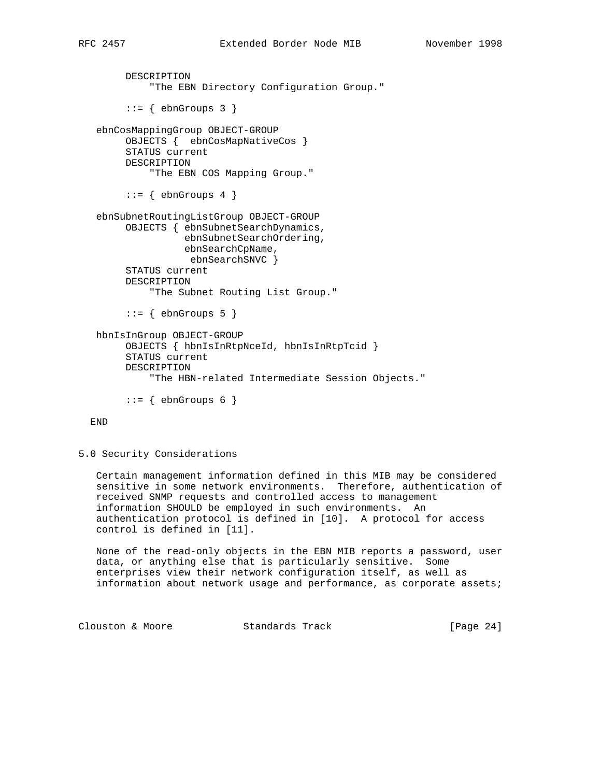```
 DESCRIPTION
          "The EBN Directory Configuration Group."
     ::= { ebnGroups 3 }
 ebnCosMappingGroup OBJECT-GROUP
      OBJECTS { ebnCosMapNativeCos }
      STATUS current
      DESCRIPTION
          "The EBN COS Mapping Group."
     ::= { ebnGroups 4 }
 ebnSubnetRoutingListGroup OBJECT-GROUP
      OBJECTS { ebnSubnetSearchDynamics,
                ebnSubnetSearchOrdering,
                ebnSearchCpName,
                 ebnSearchSNVC }
      STATUS current
      DESCRIPTION
          "The Subnet Routing List Group."
     ::= { ebnGroups 5 }
 hbnIsInGroup OBJECT-GROUP
      OBJECTS { hbnIsInRtpNceId, hbnIsInRtpTcid }
      STATUS current
      DESCRIPTION
          "The HBN-related Intermediate Session Objects."
     ::= { ebnGroups 6 }
```
## END

5.0 Security Considerations

 Certain management information defined in this MIB may be considered sensitive in some network environments. Therefore, authentication of received SNMP requests and controlled access to management information SHOULD be employed in such environments. An authentication protocol is defined in [10]. A protocol for access control is defined in [11].

 None of the read-only objects in the EBN MIB reports a password, user data, or anything else that is particularly sensitive. Some enterprises view their network configuration itself, as well as information about network usage and performance, as corporate assets;

Clouston & Moore Standards Track [Page 24]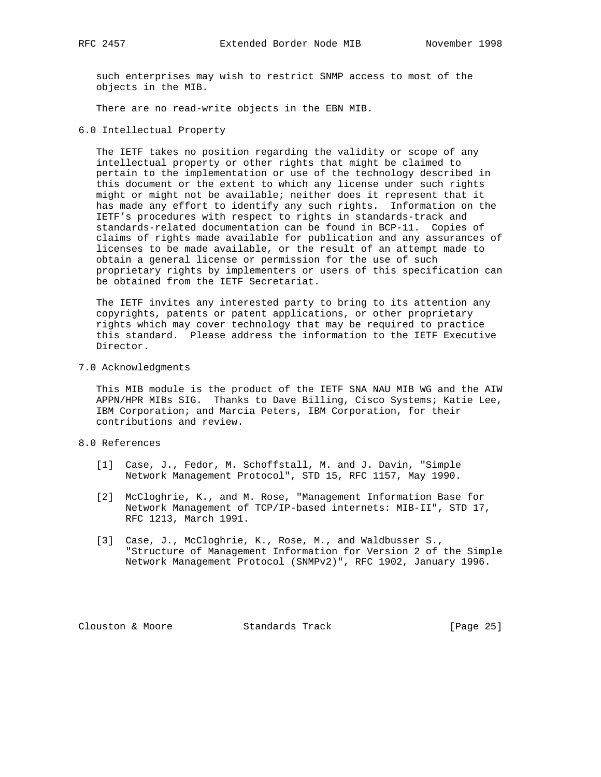such enterprises may wish to restrict SNMP access to most of the objects in the MIB.

There are no read-write objects in the EBN MIB.

6.0 Intellectual Property

 The IETF takes no position regarding the validity or scope of any intellectual property or other rights that might be claimed to pertain to the implementation or use of the technology described in this document or the extent to which any license under such rights might or might not be available; neither does it represent that it has made any effort to identify any such rights. Information on the IETF's procedures with respect to rights in standards-track and standards-related documentation can be found in BCP-11. Copies of claims of rights made available for publication and any assurances of licenses to be made available, or the result of an attempt made to obtain a general license or permission for the use of such proprietary rights by implementers or users of this specification can be obtained from the IETF Secretariat.

 The IETF invites any interested party to bring to its attention any copyrights, patents or patent applications, or other proprietary rights which may cover technology that may be required to practice this standard. Please address the information to the IETF Executive Director.

7.0 Acknowledgments

 This MIB module is the product of the IETF SNA NAU MIB WG and the AIW APPN/HPR MIBs SIG. Thanks to Dave Billing, Cisco Systems; Katie Lee, IBM Corporation; and Marcia Peters, IBM Corporation, for their contributions and review.

- 8.0 References
	- [1] Case, J., Fedor, M. Schoffstall, M. and J. Davin, "Simple Network Management Protocol", STD 15, RFC 1157, May 1990.
	- [2] McCloghrie, K., and M. Rose, "Management Information Base for Network Management of TCP/IP-based internets: MIB-II", STD 17, RFC 1213, March 1991.
	- [3] Case, J., McCloghrie, K., Rose, M., and Waldbusser S., "Structure of Management Information for Version 2 of the Simple Network Management Protocol (SNMPv2)", RFC 1902, January 1996.

Clouston & Moore Standards Track [Page 25]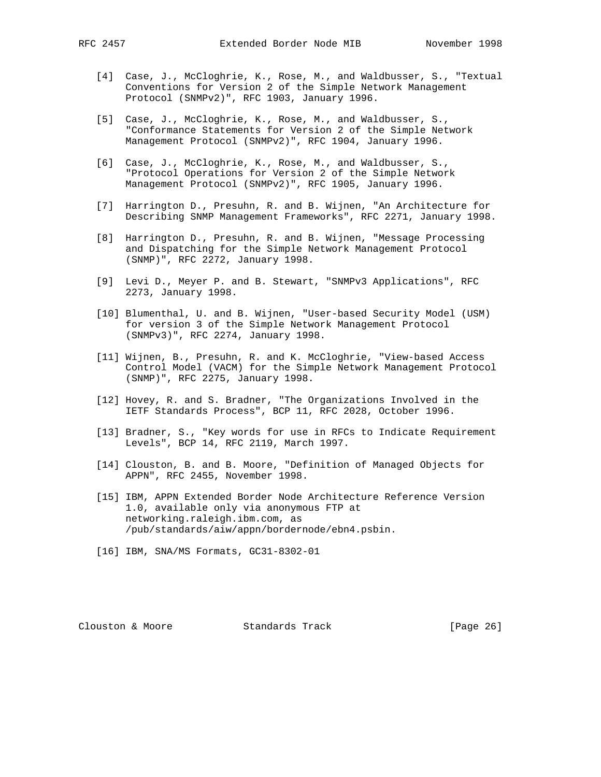- [4] Case, J., McCloghrie, K., Rose, M., and Waldbusser, S., "Textual Conventions for Version 2 of the Simple Network Management Protocol (SNMPv2)", RFC 1903, January 1996.
- [5] Case, J., McCloghrie, K., Rose, M., and Waldbusser, S., "Conformance Statements for Version 2 of the Simple Network Management Protocol (SNMPv2)", RFC 1904, January 1996.
- [6] Case, J., McCloghrie, K., Rose, M., and Waldbusser, S., "Protocol Operations for Version 2 of the Simple Network Management Protocol (SNMPv2)", RFC 1905, January 1996.
- [7] Harrington D., Presuhn, R. and B. Wijnen, "An Architecture for Describing SNMP Management Frameworks", RFC 2271, January 1998.
- [8] Harrington D., Presuhn, R. and B. Wijnen, "Message Processing and Dispatching for the Simple Network Management Protocol (SNMP)", RFC 2272, January 1998.
- [9] Levi D., Meyer P. and B. Stewart, "SNMPv3 Applications", RFC 2273, January 1998.
- [10] Blumenthal, U. and B. Wijnen, "User-based Security Model (USM) for version 3 of the Simple Network Management Protocol (SNMPv3)", RFC 2274, January 1998.
- [11] Wijnen, B., Presuhn, R. and K. McCloghrie, "View-based Access Control Model (VACM) for the Simple Network Management Protocol (SNMP)", RFC 2275, January 1998.
- [12] Hovey, R. and S. Bradner, "The Organizations Involved in the IETF Standards Process", BCP 11, RFC 2028, October 1996.
- [13] Bradner, S., "Key words for use in RFCs to Indicate Requirement Levels", BCP 14, RFC 2119, March 1997.
- [14] Clouston, B. and B. Moore, "Definition of Managed Objects for APPN", RFC 2455, November 1998.
- [15] IBM, APPN Extended Border Node Architecture Reference Version 1.0, available only via anonymous FTP at networking.raleigh.ibm.com, as /pub/standards/aiw/appn/bordernode/ebn4.psbin.
- [16] IBM, SNA/MS Formats, GC31-8302-01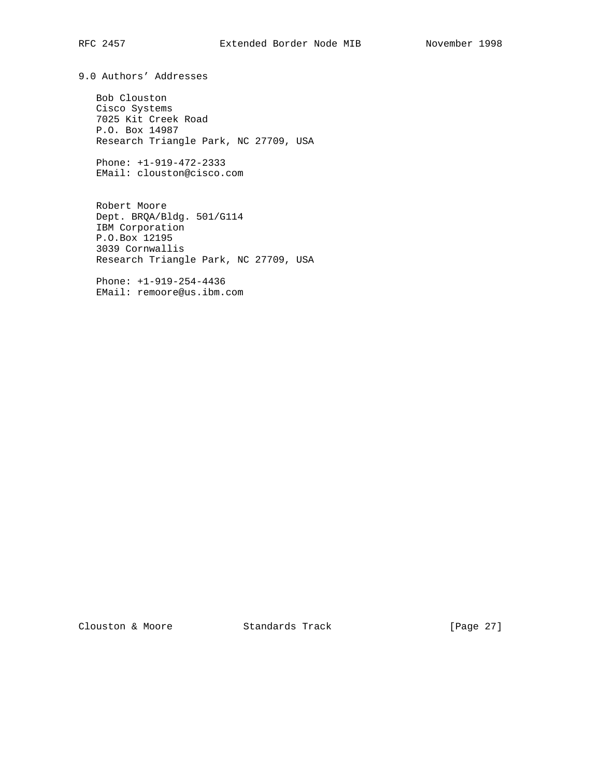9.0 Authors' Addresses

 Bob Clouston Cisco Systems 7025 Kit Creek Road P.O. Box 14987 Research Triangle Park, NC 27709, USA

 Phone: +1-919-472-2333 EMail: clouston@cisco.com

 Robert Moore Dept. BRQA/Bldg. 501/G114 IBM Corporation P.O.Box 12195 3039 Cornwallis Research Triangle Park, NC 27709, USA

 Phone: +1-919-254-4436 EMail: remoore@us.ibm.com